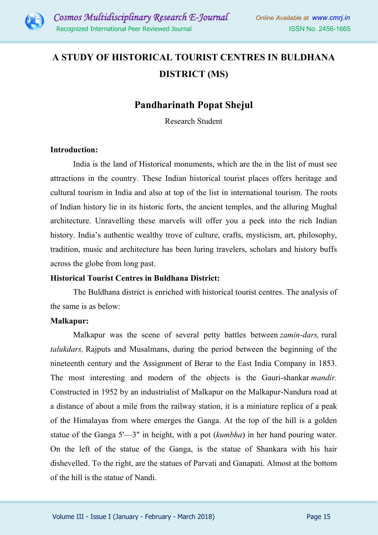

# **A STUDY OF HISTORICAL TOURIST CENTRES IN BULDHANA DISTRICT (MS)**

# **Pandharinath Popat Shejul**

Research Student

## **Introduction:**

India is the land of Historical monuments, which are the in the list of must see attractions in the country. These Indian historical tourist places offers heritage and cultural tourism in India and also at top of the list in international tourism. The roots of Indian history lie in its historic forts, the ancient temples, and the alluring Mughal architecture. Unravelling these marvels will offer you a peek into the rich Indian history. India's authentic wealthy trove of culture, crafts, mysticism, art, philosophy, tradition, music and architecture has been luring travelers, scholars and history buffs across the globe from long past.

# **Historical Tourist Centres in Buldhana District:**

The Buldhana district is enriched with historical tourist centres. The analysis of the same is as below:

## **Malkapur:**

Malkapur was the scene of several petty battles between *zamin-dars,* rural *talukdars,* Rajputs and Musalmans, during the period between the beginning of the nineteenth century and the Assignment of Berar to the East India Company in 1853. The most interesting and modern of the objects is the Gauri-shankar *mandir.*  Constructed in 1952 by an industrialist of Malkapur on the Malkapur-Nandura road at a distance of about a mile from the railway station, it is a miniature replica of a peak of the Himalayas from where emerges the Ganga. At the top of the hill is a golden statue of the Ganga 5'—3" in height, with a pot (*kumbha*) in her hand pouring water. On the left of the statue of the Ganga, is the statue of Shankara with his hair dishevelled. To the right, are the statues of Parvati and Ganapati. Almost at the bottom of the hill is the statue of Nandi.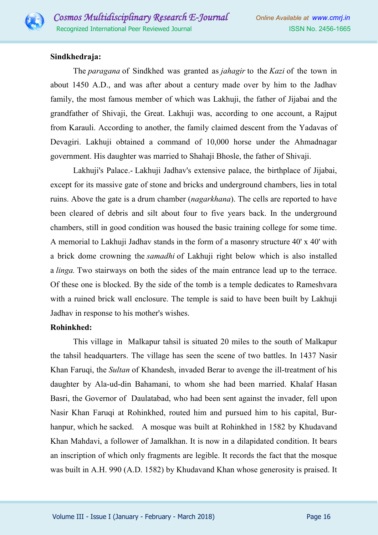

# **Sindkhedraja:**

The *paragana* of Sindkhed was granted as *jahagir* to the *Kazi* of the town in about 1450 A.D., and was after about a century made over by him to the Jadhav family, the most famous member of which was Lakhuji, the father of Jijabai and the grandfather of Shivaji, the Great. Lakhuji was, according to one account, a Rajput from Karauli. According to another, the family claimed descent from the Yadavas of Devagiri. Lakhuji obtained a command of 10,000 horse under the Ahmadnagar government. His daughter was married to Shahaji Bhosle, the father of Shivaji.

Lakhuji's Palace.- Lakhuji Jadhav's extensive palace, the birthplace of Jijabai, except for its massive gate of stone and bricks and underground chambers, lies in total ruins. Above the gate is a drum chamber (*nagarkhana*). The cells are reported to have been cleared of debris and silt about four to five years back. In the underground chambers, still in good condition was housed the basic training college for some time. A memorial to Lakhuji Jadhav stands in the form of a masonry structure 40' x 40' with a brick dome crowning the *samadhi* of Lakhuji right below which is also installed a *linga.* Two stairways on both the sides of the main entrance lead up to the terrace. Of these one is blocked. By the side of the tomb is a temple dedicates to Rameshvara with a ruined brick wall enclosure. The temple is said to have been built by Lakhuji Jadhav in response to his mother's wishes.

# **Rohinkhed:**

This village in Malkapur tahsil is situated 20 miles to the south of Malkapur the tahsil headquarters. The village has seen the scene of two battles. In 1437 Nasir Khan Faruqi, the *Sultan* of Khandesh, invaded Berar to avenge the ill-treatment of his daughter by Ala-ud-din Bahamani, to whom she had been married. Khalaf Hasan Basri, the Governor of Daulatabad, who had been sent against the invader, fell upon Nasir Khan Faruqi at Rohinkhed, routed him and pursued him to his capital, Burhanpur, which he sacked. A mosque was built at Rohinkhed in 1582 by Khudavand Khan Mahdavi, a follower of Jamalkhan. It is now in a dilapidated condition. It bears an inscription of which only fragments are legible. It records the fact that the mosque was built in A.H. 990 (A.D. 1582) by Khudavand Khan whose generosity is praised. It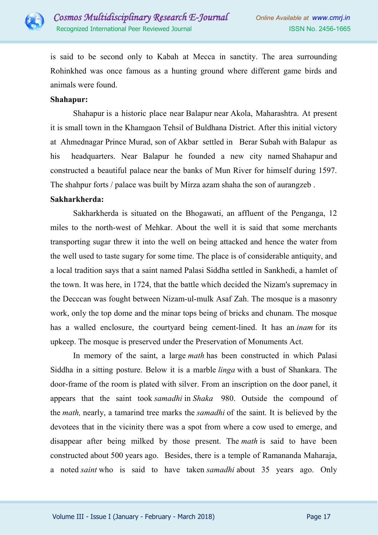

is said to be second only to Kabah at Mecca in sanctity. The area surrounding Rohinkhed was once famous as a hunting ground where different game birds and animals were found.

## **Shahapur:**

Shahapur is a historic place near Balapur near Akola, Maharashtra. At present it is small town in the Khamgaon Tehsil of Buldhana District. After this initial victory at Ahmednagar Prince Murad, son of Akbar settled in Berar Subah with Balapur as his headquarters. Near Balapur he founded a new city named Shahapur and constructed a beautiful palace near the banks of Mun River for himself during 1597. The shahpur forts / palace was built by Mirza azam shaha the son of aurangzeb .

## **Sakharkherda:**

Sakharkherda is situated on the Bhogawati, an affluent of the Penganga, 12 miles to the north-west of Mehkar. About the well it is said that some merchants transporting sugar threw it into the well on being attacked and hence the water from the well used to taste sugary for some time. The place is of considerable antiquity, and a local tradition says that a saint named Palasi Siddha settled in Sankhedi, a hamlet of the town. It was here, in 1724, that the battle which decided the Nizam's supremacy in the Decccan was fought between Nizam-ul-mulk Asaf Zah. The mosque is a masonry work, only the top dome and the minar tops being of bricks and chunam. The mosque has a walled enclosure, the courtyard being cement-lined. It has an *inam* for its upkeep. The mosque is preserved under the Preservation of Monuments Act.

In memory of the saint, a large *math* has been constructed in which Palasi Siddha in a sitting posture. Below it is a marble *linga* with a bust of Shankara. The door-frame of the room is plated with silver. From an inscription on the door panel, it appears that the saint took *samadhi* in *Shaka* 980. Outside the compound of the *math,* nearly, a tamarind tree marks the *samadhi* of the saint. It is believed by the devotees that in the vicinity there was a spot from where a cow used to emerge, and disappear after being milked by those present. The *math* is said to have been constructed about 500 years ago. Besides, there is a temple of Ramananda Maharaja, a noted *saint* who is said to have taken *samadhi* about 35 years ago. Only